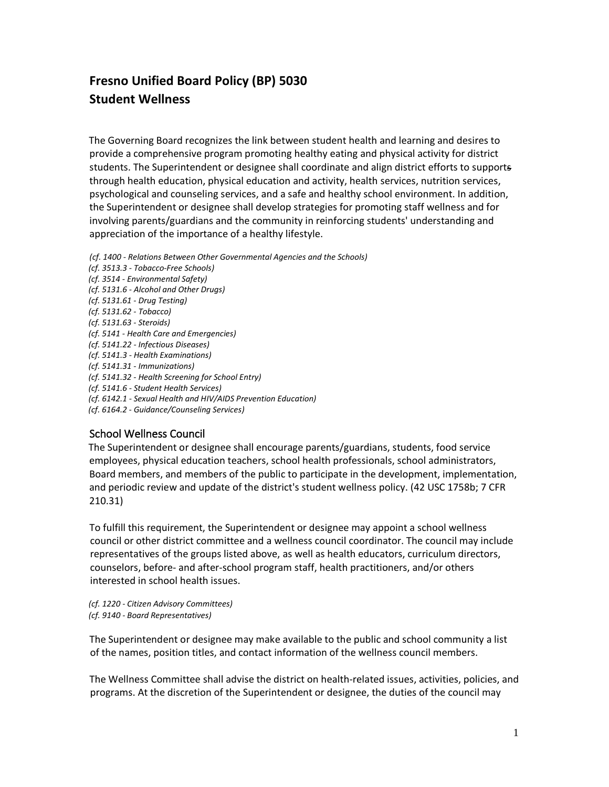# **Fresno Unified Board Policy (BP) 5030 Student Wellness**

The Governing Board recognizes the link between student health and learning and desires to provide a comprehensive program promoting healthy eating and physical activity for district students. The Superintendent or designee shall coordinate and align district efforts to supports through health education, physical education and activity, health services, nutrition services, psychological and counseling services, and a safe and healthy school environment. In addition, the Superintendent or designee shall develop strategies for promoting staff wellness and for involving parents/guardians and the community in reinforcing students' understanding and appreciation of the importance of a healthy lifestyle.

- *(cf. 1400 - Relations Between Other Governmental Agencies and the Schools)*
- *(cf. 3513.3 - Tobacco-Free Schools) (cf. 3514 - Environmental Safety) (cf. 5131.6 - Alcohol and Other Drugs) (cf. 5131.61 - Drug Testing) (cf. 5131.62 - Tobacco) (cf. 5131.63 - Steroids) (cf. 5141 - Health Care and Emergencies) (cf. 5141.22 - Infectious Diseases) (cf. 5141.3 - Health Examinations) (cf. 5141.31 - Immunizations) (cf. 5141.32 - Health Screening for School Entry) (cf. 5141.6 - Student Health Services) (cf. 6142.1 - Sexual Health and HIV/AIDS Prevention Education) (cf. 6164.2 - Guidance/Counseling Services)*

# School Wellness Council

The Superintendent or designee shall encourage parents/guardians, students, food service employees, physical education teachers, school health professionals, school administrators, Board members, and members of the public to participate in the development, implementation, and periodic review and update of the district's student wellness policy. (42 USC 1758b; 7 CFR 210.31)

To fulfill this requirement, the Superintendent or designee may appoint a school wellness council or other district committee and a wellness council coordinator. The council may include representatives of the groups listed above, as well as health educators, curriculum directors, counselors, before- and after-school program staff, health practitioners, and/or others interested in school health issues.

*(cf. 1220 - Citizen Advisory Committees) (cf. 9140 - Board Representatives)* 

The Superintendent or designee may make available to the public and school community a list of the names, position titles, and contact information of the wellness council members.

The Wellness Committee shall advise the district on health-related issues, activities, policies, and programs. At the discretion of the Superintendent or designee, the duties of the council may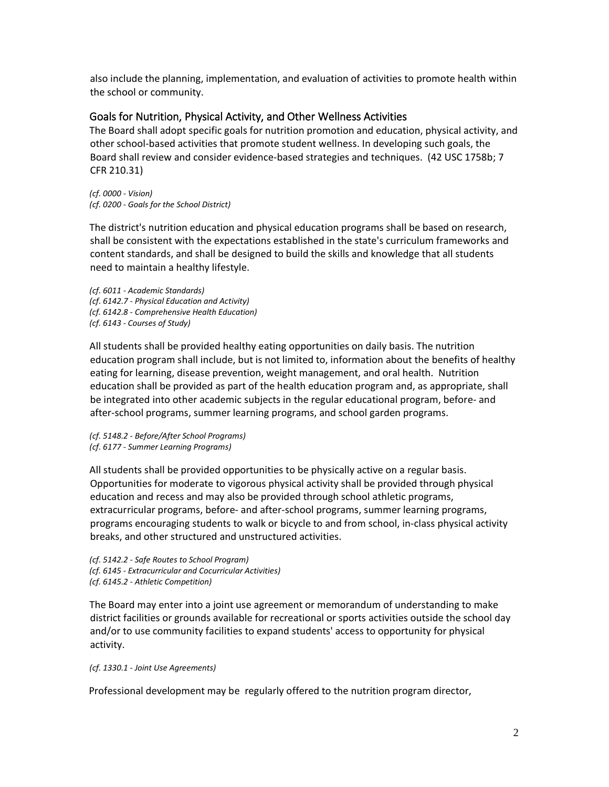also include the planning, implementation, and evaluation of activities to promote health within the school or community.

#### Goals for Nutrition, Physical Activity, and Other Wellness Activities

The Board shall adopt specific goals for nutrition promotion and education, physical activity, and other school-based activities that promote student wellness. In developing such goals, the Board shall review and consider evidence-based strategies and techniques. (42 USC 1758b; 7 CFR 210.31)

*(cf. 0000 - Vision) (cf. 0200 - Goals for the School District)*

The district's nutrition education and physical education programs shall be based on research, shall be consistent with the expectations established in the state's curriculum frameworks and content standards, and shall be designed to build the skills and knowledge that all students need to maintain a healthy lifestyle.

*(cf. 6011 - Academic Standards) (cf. 6142.7 - Physical Education and Activity) (cf. 6142.8 - Comprehensive Health Education) (cf. 6143 - Courses of Study)*

All students shall be provided healthy eating opportunities on daily basis. The nutrition education program shall include, but is not limited to, information about the benefits of healthy eating for learning, disease prevention, weight management, and oral health. Nutrition education shall be provided as part of the health education program and, as appropriate, shall be integrated into other academic subjects in the regular educational program, before- and after-school programs, summer learning programs, and school garden programs.

*(cf. 5148.2 - Before/After School Programs) (cf. 6177 - Summer Learning Programs)*

All students shall be provided opportunities to be physically active on a regular basis. Opportunities for moderate to vigorous physical activity shall be provided through physical education and recess and may also be provided through school athletic programs, extracurricular programs, before- and after-school programs, summer learning programs, programs encouraging students to walk or bicycle to and from school, in-class physical activity breaks, and other structured and unstructured activities.

*(cf. 5142.2 - Safe Routes to School Program) (cf. 6145 - Extracurricular and Cocurricular Activities) (cf. 6145.2 - Athletic Competition)*

The Board may enter into a joint use agreement or memorandum of understanding to make district facilities or grounds available for recreational or sports activities outside the school day and/or to use community facilities to expand students' access to opportunity for physical activity.

*(cf. 1330.1 - Joint Use Agreements)*

Professional development may be regularly offered to the nutrition program director,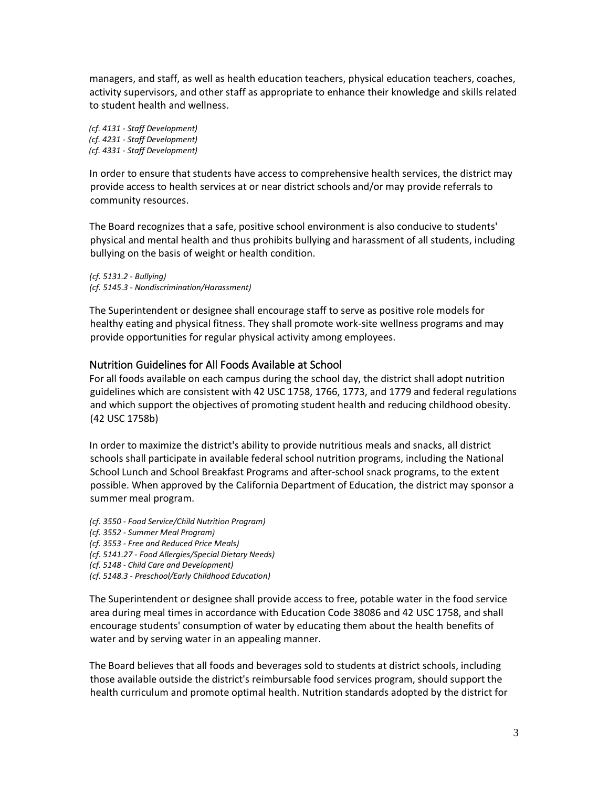managers, and staff, as well as health education teachers, physical education teachers, coaches, activity supervisors, and other staff as appropriate to enhance their knowledge and skills related to student health and wellness.

*(cf. 4131 - Staff Development) (cf. 4231 - Staff Development) (cf. 4331 - Staff Development)*

In order to ensure that students have access to comprehensive health services, the district may provide access to health services at or near district schools and/or may provide referrals to community resources.

The Board recognizes that a safe, positive school environment is also conducive to students' physical and mental health and thus prohibits bullying and harassment of all students, including bullying on the basis of weight or health condition.

*(cf. 5131.2 - Bullying) (cf. 5145.3 - Nondiscrimination/Harassment)*

The Superintendent or designee shall encourage staff to serve as positive role models for healthy eating and physical fitness. They shall promote work-site wellness programs and may provide opportunities for regular physical activity among employees.

## Nutrition Guidelines for All Foods Available at School

For all foods available on each campus during the school day, the district shall adopt nutrition guidelines which are consistent with 42 USC 1758, 1766, 1773, and 1779 and federal regulations and which support the objectives of promoting student health and reducing childhood obesity. (42 USC 1758b)

In order to maximize the district's ability to provide nutritious meals and snacks, all district schools shall participate in available federal school nutrition programs, including the National School Lunch and School Breakfast Programs and after-school snack programs, to the extent possible. When approved by the California Department of Education, the district may sponsor a summer meal program.

- *(cf. 3550 - Food Service/Child Nutrition Program)*
- *(cf. 3552 - Summer Meal Program)*
- *(cf. 3553 - Free and Reduced Price Meals)*
- *(cf. 5141.27 - Food Allergies/Special Dietary Needs)*
- *(cf. 5148 - Child Care and Development)*
- *(cf. 5148.3 - Preschool/Early Childhood Education)*

The Superintendent or designee shall provide access to free, potable water in the food service area during meal times in accordance with Education Code 38086 and 42 USC 1758, and shall encourage students' consumption of water by educating them about the health benefits of water and by serving water in an appealing manner.

The Board believes that all foods and beverages sold to students at district schools, including those available outside the district's reimbursable food services program, should support the health curriculum and promote optimal health. Nutrition standards adopted by the district for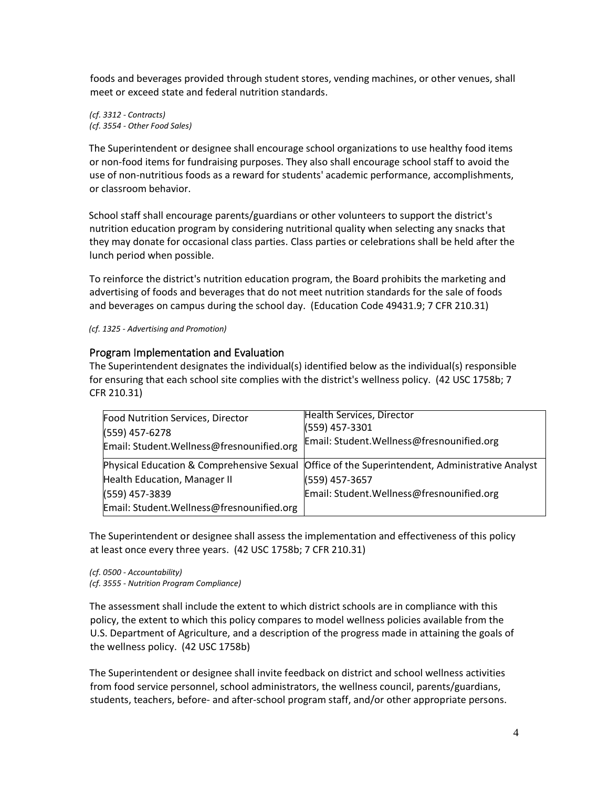foods and beverages provided through student stores, vending machines, or other venues, shall meet or exceed state and federal nutrition standards.

*(cf. 3312 - Contracts) (cf. 3554 - Other Food Sales)*

The Superintendent or designee shall encourage school organizations to use healthy food items or non-food items for fundraising purposes. They also shall encourage school staff to avoid the use of non-nutritious foods as a reward for students' academic performance, accomplishments, or classroom behavior.

School staff shall encourage parents/guardians or other volunteers to support the district's nutrition education program by considering nutritional quality when selecting any snacks that they may donate for occasional class parties. Class parties or celebrations shall be held after the lunch period when possible.

To reinforce the district's nutrition education program, the Board prohibits the marketing and advertising of foods and beverages that do not meet nutrition standards for the sale of foods and beverages on campus during the school day. (Education Code 49431.9; 7 CFR 210.31)

*(cf. 1325 - Advertising and Promotion)* 

## Program Implementation and Evaluation

The Superintendent designates the individual(s) identified below as the individual(s) responsible for ensuring that each school site complies with the district's wellness policy. (42 USC 1758b; 7 CFR 210.31)

| Food Nutrition Services, Director<br>(559) 457-6278<br>Email: Student. Wellness@fresnounified.org | Health Services, Director<br>(559) 457-3301<br>Email: Student. Wellness@fresnounified.org      |
|---------------------------------------------------------------------------------------------------|------------------------------------------------------------------------------------------------|
| Health Education, Manager II                                                                      | Physical Education & Comprehensive Sexual Office of the Superintendent, Administrative Analyst |
| (559) 457-3839                                                                                    | (559) 457-3657<br>Email: Student. Wellness@fresnounified.org                                   |
| Email: Student. Wellness@fresnounified.org                                                        |                                                                                                |

The Superintendent or designee shall assess the implementation and effectiveness of this policy at least once every three years. (42 USC 1758b; 7 CFR 210.31)

*(cf. 0500 - Accountability) (cf. 3555 - Nutrition Program Compliance)*

The assessment shall include the extent to which district schools are in compliance with this policy, the extent to which this policy compares to model wellness policies available from the U.S. Department of Agriculture, and a description of the progress made in attaining the goals of the wellness policy. (42 USC 1758b)

The Superintendent or designee shall invite feedback on district and school wellness activities from food service personnel, school administrators, the wellness council, parents/guardians, students, teachers, before- and after-school program staff, and/or other appropriate persons.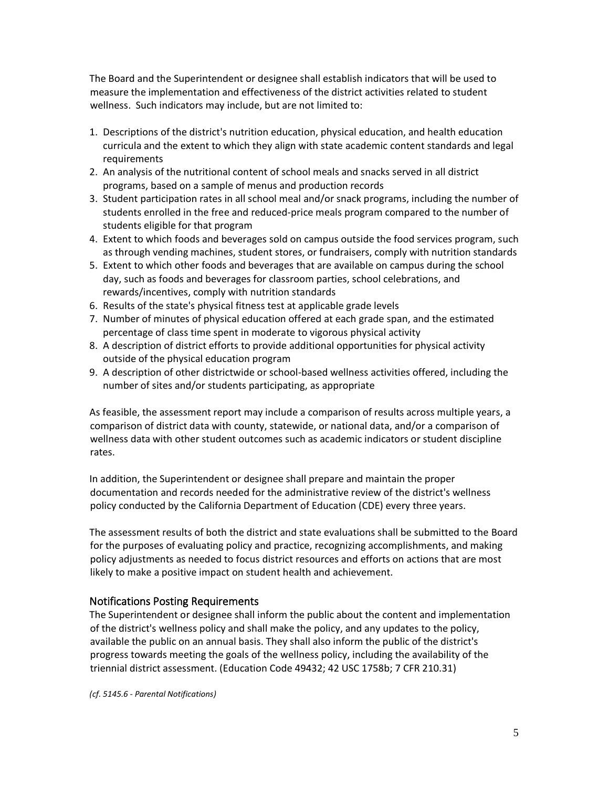The Board and the Superintendent or designee shall establish indicators that will be used to measure the implementation and effectiveness of the district activities related to student wellness. Such indicators may include, but are not limited to:

- 1. Descriptions of the district's nutrition education, physical education, and health education curricula and the extent to which they align with state academic content standards and legal requirements
- 2. An analysis of the nutritional content of school meals and snacks served in all district programs, based on a sample of menus and production records
- 3. Student participation rates in all school meal and/or snack programs, including the number of students enrolled in the free and reduced-price meals program compared to the number of students eligible for that program
- 4. Extent to which foods and beverages sold on campus outside the food services program, such as through vending machines, student stores, or fundraisers, comply with nutrition standards
- 5. Extent to which other foods and beverages that are available on campus during the school day, such as foods and beverages for classroom parties, school celebrations, and rewards/incentives, comply with nutrition standards
- 6. Results of the state's physical fitness test at applicable grade levels
- 7. Number of minutes of physical education offered at each grade span, and the estimated percentage of class time spent in moderate to vigorous physical activity
- 8. A description of district efforts to provide additional opportunities for physical activity outside of the physical education program
- 9. A description of other districtwide or school-based wellness activities offered, including the number of sites and/or students participating, as appropriate

As feasible, the assessment report may include a comparison of results across multiple years, a comparison of district data with county, statewide, or national data, and/or a comparison of wellness data with other student outcomes such as academic indicators or student discipline rates.

In addition, the Superintendent or designee shall prepare and maintain the proper documentation and records needed for the administrative review of the district's wellness policy conducted by the California Department of Education (CDE) every three years.

The assessment results of both the district and state evaluations shall be submitted to the Board for the purposes of evaluating policy and practice, recognizing accomplishments, and making policy adjustments as needed to focus district resources and efforts on actions that are most likely to make a positive impact on student health and achievement.

# Notifications Posting Requirements

The Superintendent or designee shall inform the public about the content and implementation of the district's wellness policy and shall make the policy, and any updates to the policy, available the public on an annual basis. They shall also inform the public of the district's progress towards meeting the goals of the wellness policy, including the availability of the triennial district assessment. (Education Code 49432; 42 USC 1758b; 7 CFR 210.31)

*(cf. 5145.6 - Parental Notifications)*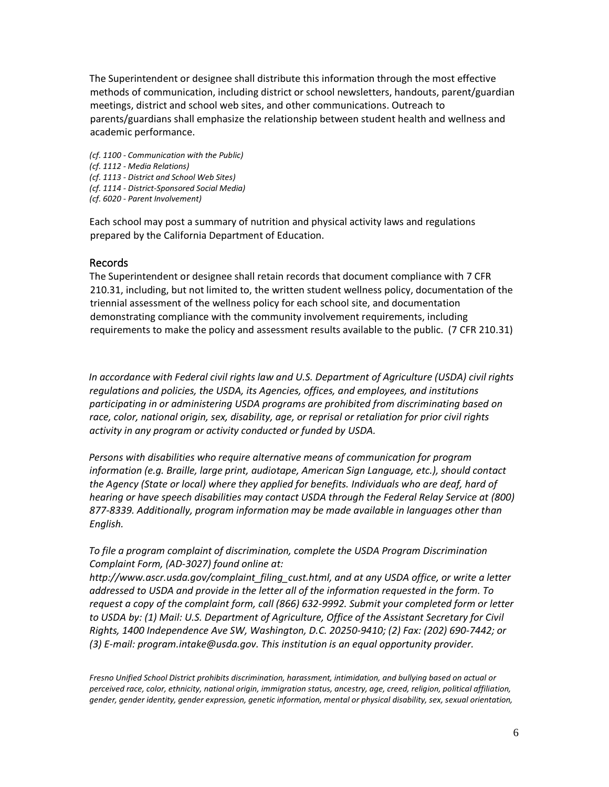The Superintendent or designee shall distribute this information through the most effective methods of communication, including district or school newsletters, handouts, parent/guardian meetings, district and school web sites, and other communications. Outreach to parents/guardians shall emphasize the relationship between student health and wellness and academic performance.

*(cf. 1100 - Communication with the Public) (cf. 1112 - Media Relations) (cf. 1113 - District and School Web Sites) (cf. 1114 - District-Sponsored Social Media) (cf. 6020 - Parent Involvement)*

Each school may post a summary of nutrition and physical activity laws and regulations prepared by the California Department of Education.

#### Records

The Superintendent or designee shall retain records that document compliance with 7 CFR 210.31, including, but not limited to, the written student wellness policy, documentation of the triennial assessment of the wellness policy for each school site, and documentation demonstrating compliance with the community involvement requirements, including requirements to make the policy and assessment results available to the public. (7 CFR 210.31)

*In accordance with Federal civil rights law and U.S. Department of Agriculture (USDA) civil rights regulations and policies, the USDA, its Agencies, offices, and employees, and institutions participating in or administering USDA programs are prohibited from discriminating based on race, color, national origin, sex, disability, age, or reprisal or retaliation for prior civil rights activity in any program or activity conducted or funded by USDA.* 

*Persons with disabilities who require alternative means of communication for program information (e.g. Braille, large print, audiotape, American Sign Language, etc.), should contact the Agency (State or local) where they applied for benefits. Individuals who are deaf, hard of hearing or have speech disabilities may contact USDA through the Federal Relay Service at (800) 877-8339. Additionally, program information may be made available in languages other than English.*

*To file a program complaint of discrimination, complete the USDA Program Discrimination Complaint Form, (AD-3027) found online at:* 

*http://www.ascr.usda.gov/complaint\_filing\_cust.html, and at any USDA office, or write a letter addressed to USDA and provide in the letter all of the information requested in the form. To request a copy of the complaint form, call (866) 632-9992. Submit your completed form or letter to USDA by: (1) Mail: U.S. Department of Agriculture, Office of the Assistant Secretary for Civil Rights, 1400 Independence Ave SW, Washington, D.C. 20250-9410; (2) Fax: (202) 690-7442; or (3) E-mail: program.intake@usda.gov. This institution is an equal opportunity provider.*

*Fresno Unified School District prohibits discrimination, harassment, intimidation, and bullying based on actual or perceived race, color, ethnicity, national origin, immigration status, ancestry, age, creed, religion, political affiliation, gender, gender identity, gender expression, genetic information, mental or physical disability, sex, sexual orientation,*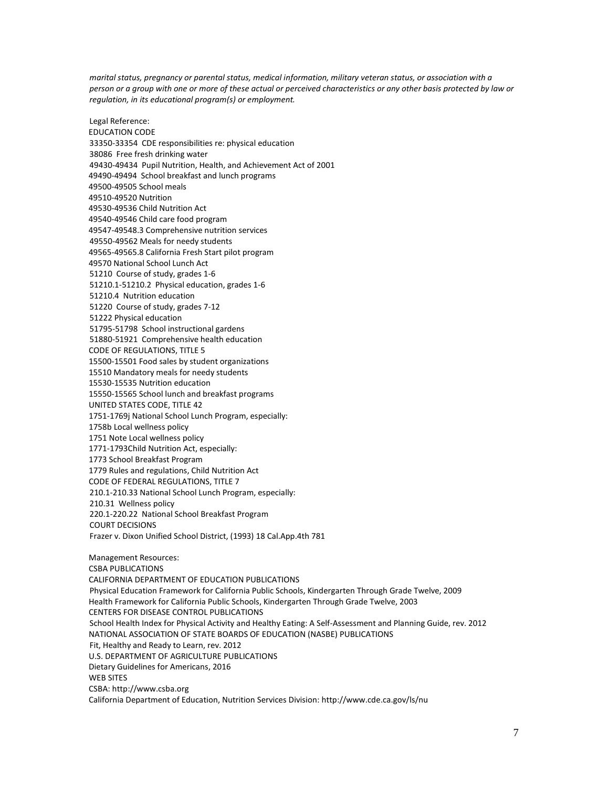*marital status, pregnancy or parental status, medical information, military veteran status, or association with a person or a group with one or more of these actual or perceived characteristics or any other basis protected by law or regulation, in its educational program(s) or employment.*

Legal Reference:

EDUCATION CODE 33350-33354 CDE responsibilities re: physical education 38086 Free fresh drinking water 49430-49434 Pupil Nutrition, Health, and Achievement Act of 2001 49490-49494 School breakfast and lunch programs 49500-49505 School meals 49510-49520 Nutrition 49530-49536 Child Nutrition Act 49540-49546 Child care food program 49547-49548.3 Comprehensive nutrition services 49550-49562 Meals for needy students 49565-49565.8 California Fresh Start pilot program 49570 National School Lunch Act 51210 Course of study, grades 1-6 51210.1-51210.2 Physical education, grades 1-6 51210.4 Nutrition education 51220 Course of study, grades 7-12 51222 Physical education 51795-51798 School instructional gardens 51880-51921 Comprehensive health education CODE OF REGULATIONS, TITLE 5 15500-15501 Food sales by student organizations 15510 Mandatory meals for needy students 15530-15535 Nutrition education 15550-15565 School lunch and breakfast programs UNITED STATES CODE, TITLE 42 1751-1769j National School Lunch Program, especially: 1758b Local wellness policy 1751 Note Local wellness policy 1771-1793Child Nutrition Act, especially: 1773 School Breakfast Program 1779 Rules and regulations, Child Nutrition Act CODE OF FEDERAL REGULATIONS, TITLE 7 210.1-210.33 National School Lunch Program, especially: 210.31 Wellness policy 220.1-220.22 National School Breakfast Program COURT DECISIONS Frazer v. Dixon Unified School District, (1993) 18 Cal.App.4th 781 Management Resources: CSBA PUBLICATIONS CALIFORNIA DEPARTMENT OF EDUCATION PUBLICATIONS Physical Education Framework for California Public Schools, Kindergarten Through Grade Twelve, 2009 Health Framework for California Public Schools, Kindergarten Through Grade Twelve, 2003 CENTERS FOR DISEASE CONTROL PUBLICATIONS School Health Index for Physical Activity and Healthy Eating: A Self-Assessment and Planning Guide, rev. 2012 NATIONAL ASSOCIATION OF STATE BOARDS OF EDUCATION (NASBE) PUBLICATIONS Fit, Healthy and Ready to Learn, rev. 2012 U.S. DEPARTMENT OF AGRICULTURE PUBLICATIONS Dietary Guidelines for Americans, 2016 WEB SITES CSBA: http://www.csba.org California Department of Education, Nutrition Services Division: http://www.cde.ca.gov/ls/nu